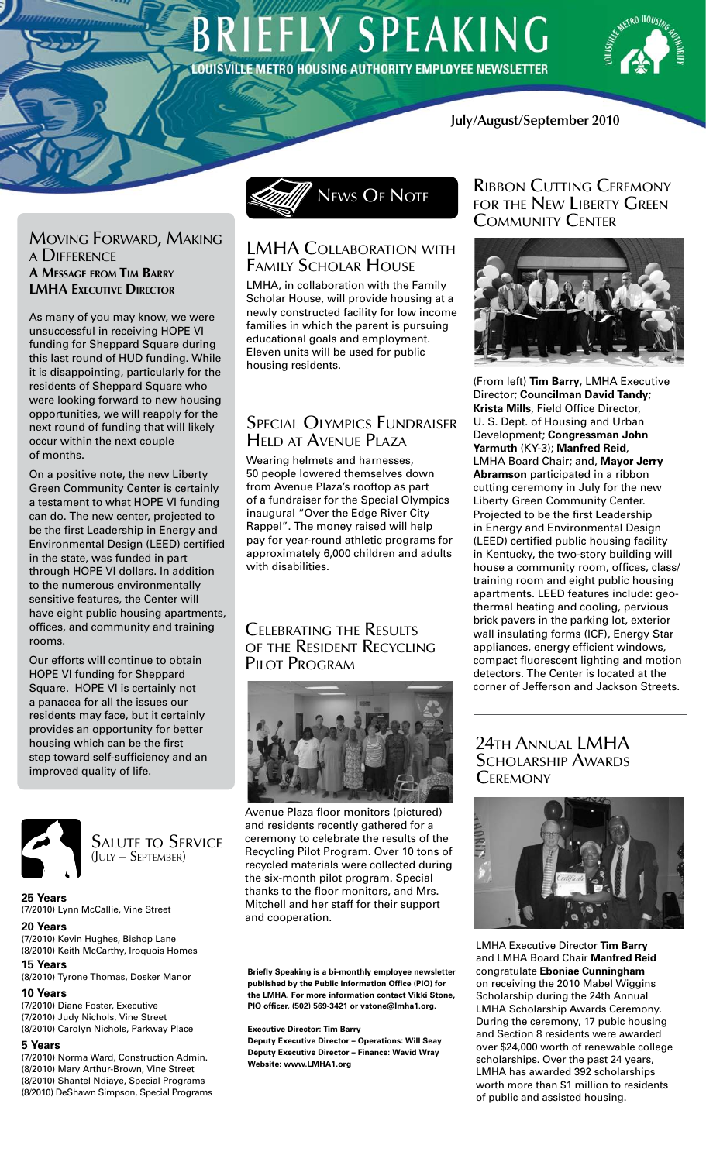# **BRIEFLY SPEAKING** LOUISVILLE METRO HOUSING AUTHORITY EMPLOYEE NEWSLETTER



### **July/August/September 2010**

#### Moving Forward, Making <sup>a</sup> Difference **A Message from Tim Barry LMHA EXECUTIVE DIRECTOR**

As many of you may know, we were unsuccessful in receiving HOPE VI funding for Sheppard Square during this last round of HUD funding. While it is disappointing, particularly for the residents of Sheppard Square who were looking forward to new housing opportunities, we will reapply for the next round of funding that will likely occur within the next couple of months.

On a positive note, the new Liberty Green Community Center is certainly a testament to what HOPE VI funding can do. The new center, projected to be the first Leadership in Energy and Environmental Design (LEED) certified in the state, was funded in part through HOPE VI dollars. In addition to the numerous environmentally sensitive features, the Center will have eight public housing apartments, offices, and community and training rooms.

Our efforts will continue to obtain HOPE VI funding for Sheppard Square. HOPE VI is certainly not a panacea for all the issues our residents may face, but it certainly provides an opportunity for better housing which can be the first step toward self-sufficiency and an improved quality of life.



Salute to Service (July – September)

**25 Years**  (7/2010) Lynn McCallie, Vine Street

# **20 Years**

(7/2010) Kevin Hughes, Bishop Lane (8/2010) Keith McCarthy, Iroquois Homes **15 Years**

(8/2010) Tyrone Thomas, Dosker Manor

#### **10 Years** (7/2010) Diane Foster, Executive (7/2010) Judy Nichols, Vine Street (8/2010) Carolyn Nichols, Parkway Place

#### **5 Years**

(7/2010) Norma Ward, Construction Admin. (8/2010) Mary Arthur-Brown, Vine Street (8/2010) Shantel Ndiaye, Special Programs (8/2010) DeShawn Simpson, Special Programs



# LMHA Collaboration with Family Scholar House

LMHA, in collaboration with the Family Scholar House, will provide housing at a newly constructed facility for low income families in which the parent is pursuing educational goals and employment. Eleven units will be used for public housing residents.

# Special Olympics Fundraiser Held at Avenue Plaza

Wearing helmets and harnesses, 50 people lowered themselves down from Avenue Plaza's rooftop as part of a fundraiser for the Special Olympics inaugural "Over the Edge River City Rappel". The money raised will help pay for year-round athletic programs for approximately 6,000 children and adults with disabilities.

### Celebrating the Results of the Resident Recycling PILOT PROGRAM



Avenue Plaza floor monitors (pictured) and residents recently gathered for a ceremony to celebrate the results of the Recycling Pilot Program. Over 10 tons of recycled materials were collected during the six-month pilot program. Special thanks to the floor monitors, and Mrs. Mitchell and her staff for their support and cooperation.

#### **Briefly Speaking is a bi-monthly employee newsletter published by the Public Information Office (PIO) for the LMHA. For more information contact Vikki Stone, PIO officer, (502) 569-3421 or vstone@lmha1.org.**

#### **Executive Director: Tim Barry**

**Deputy Executive Director – Operations: Will Seay Deputy Executive Director – Finance: Wavid Wray Website: www.LMHA1.org**

### Ribbon Cutting Ceremony for the New Liberty Green Community Center



(From left) **Tim Barry**, LMHA Executive Director; **Councilman David Tandy**; **Krista Mills**, Field Office Director, U. S. Dept. of Housing and Urban Development; **Congressman John Yarmuth** (KY-3); **Manfred Reid**, LMHA Board Chair; and, **Mayor Jerry Abramson** participated in a ribbon cutting ceremony in July for the new Liberty Green Community Center. Projected to be the first Leadership in Energy and Environmental Design (LEED) certified public housing facility in Kentucky, the two-story building will house a community room, offices, class/ training room and eight public housing apartments. LEED features include: geothermal heating and cooling, pervious brick pavers in the parking lot, exterior wall insulating forms (ICF), Energy Star appliances, energy efficient windows, compact fluorescent lighting and motion detectors. The Center is located at the corner of Jefferson and Jackson Streets.

## 24th Annual LMHA SCHOLARSHIP AWARDS **CEREMONY**



LMHA Executive Director **Tim Barry** and LMHA Board Chair **Manfred Reid** congratulate **Eboniae Cunningham**  on receiving the 2010 Mabel Wiggins Scholarship during the 24th Annual LMHA Scholarship Awards Ceremony. During the ceremony, 17 pubic housing and Section 8 residents were awarded over \$24,000 worth of renewable college scholarships. Over the past 24 years, LMHA has awarded 392 scholarships worth more than \$1 million to residents of public and assisted housing.